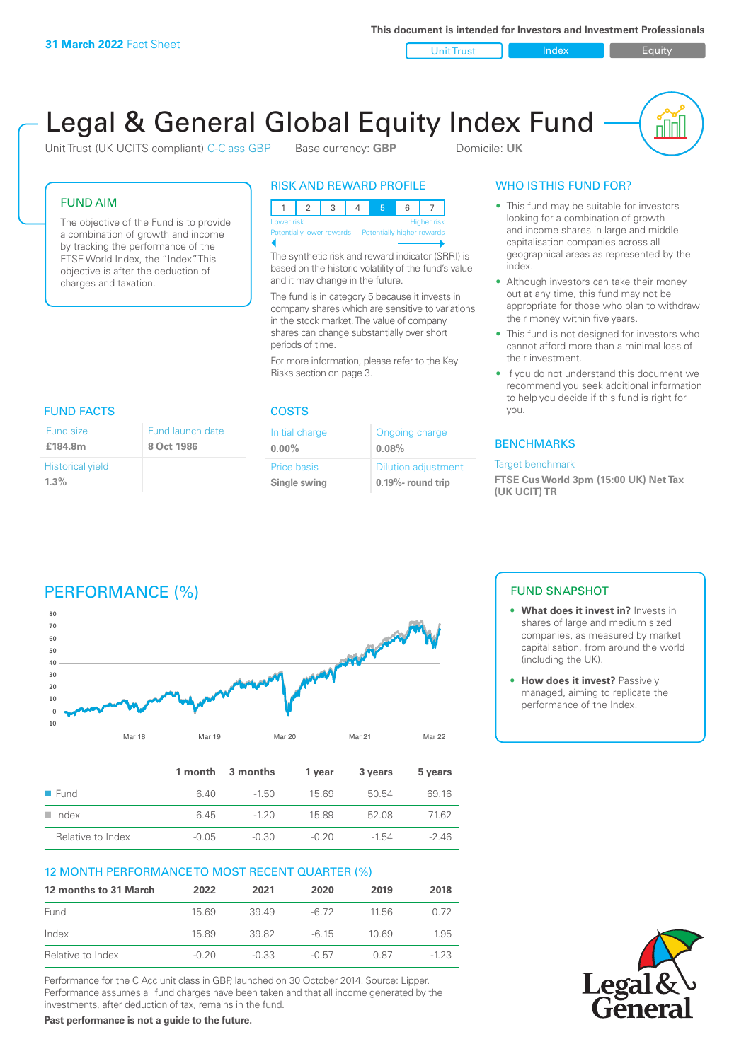**This document is intended for Investors and Investment Professionals**

Unit Trust Index I Equity

# Legal & General Global Equity Index Fund

Unit Trust (UK UCITS compliant) C-Class GBP Base currency: **GBP** Domicile: UK

#### FUND AIM

The objective of the Fund is to provide a combination of growth and income by tracking the performance of the FTSE World Index, the "Index". This objective is after the deduction of charges and taxation.

#### RISK AND REWARD PROFILE

|                                                       | Lower risk |  |  |  | <b>Higher risk</b> |
|-------------------------------------------------------|------------|--|--|--|--------------------|
| Potentially lower rewards  Potentially higher rewards |            |  |  |  |                    |
|                                                       |            |  |  |  |                    |

The synthetic risk and reward indicator (SRRI) is based on the historic volatility of the fund's value and it may change in the future.

The fund is in category 5 because it invests in company shares which are sensitive to variations in the stock market. The value of company shares can change substantially over short periods of time.

For more information, please refer to the Key Risks section on page 3.

# FUND FACTS COSTS

| Fund size               | Fund launch date |
|-------------------------|------------------|
| £184.8m                 | 8 Oct 1986       |
| <b>Historical yield</b> |                  |
| $1.3\%$                 |                  |

| Initial charge | Ongoing charge             |
|----------------|----------------------------|
| $0.00\%$       | 0.08%                      |
| Price basis    | <b>Dilution adjustment</b> |
| Single swing   | $0.19\%$ - round trip      |

### WHO IS THIS FUND FOR?

- This fund may be suitable for investors looking for a combination of growth and income shares in large and middle capitalisation companies across all geographical areas as represented by the index.
- Although investors can take their money out at any time, this fund may not be appropriate for those who plan to withdraw their money within five years.
- This fund is not designed for investors who cannot afford more than a minimal loss of their investment.
- If you do not understand this document we recommend you seek additional information to help you decide if this fund is right for you.

#### **BENCHMARKS**

#### Target benchmark

**FTSE Cus World 3pm (15:00 UK) Net Tax (UK UCIT) TR**

# PERFORMANCE (%)



|                      |         | 1 month 3 months | 1 vear  | 3 years | 5 years |
|----------------------|---------|------------------|---------|---------|---------|
| ■ Fund               | 6.40    | $-1.50$          | 15 69   | 50.54   | 69.16   |
| $\blacksquare$ Index | 6 45    | $-120$           | 15.89   | 52.08   | 7162    |
| Relative to Index    | $-0.05$ | $-0.30$          | $-0.20$ | -1.54   | $-246$  |

### 12 MONTH PERFORMANCE TO MOST RECENT QUARTER (%)

| 12 months to 31 March | 2022    | 2021    | 2020    | 2019  | 2018   |
|-----------------------|---------|---------|---------|-------|--------|
| Fund                  | 1569    | 3949    | -6.72   | 11.56 | 0.72   |
| Index                 | 15.89   | 39.82   | -6.15   | 10.69 | 1.95   |
| Relative to Index     | $-0.20$ | $-0.33$ | $-0.57$ | 0.87  | $-123$ |

Performance for the C Acc unit class in GBP, launched on 30 October 2014. Source: Lipper. Performance assumes all fund charges have been taken and that all income generated by the investments, after deduction of tax, remains in the fund.

**Past performance is not a guide to the future.**

### FUND SNAPSHOT

- **• What does it invest in?** Invests in shares of large and medium sized companies, as measured by market capitalisation, from around the world (including the UK).
- **• How does it invest?** Passively managed, aiming to replicate the performance of the Index.

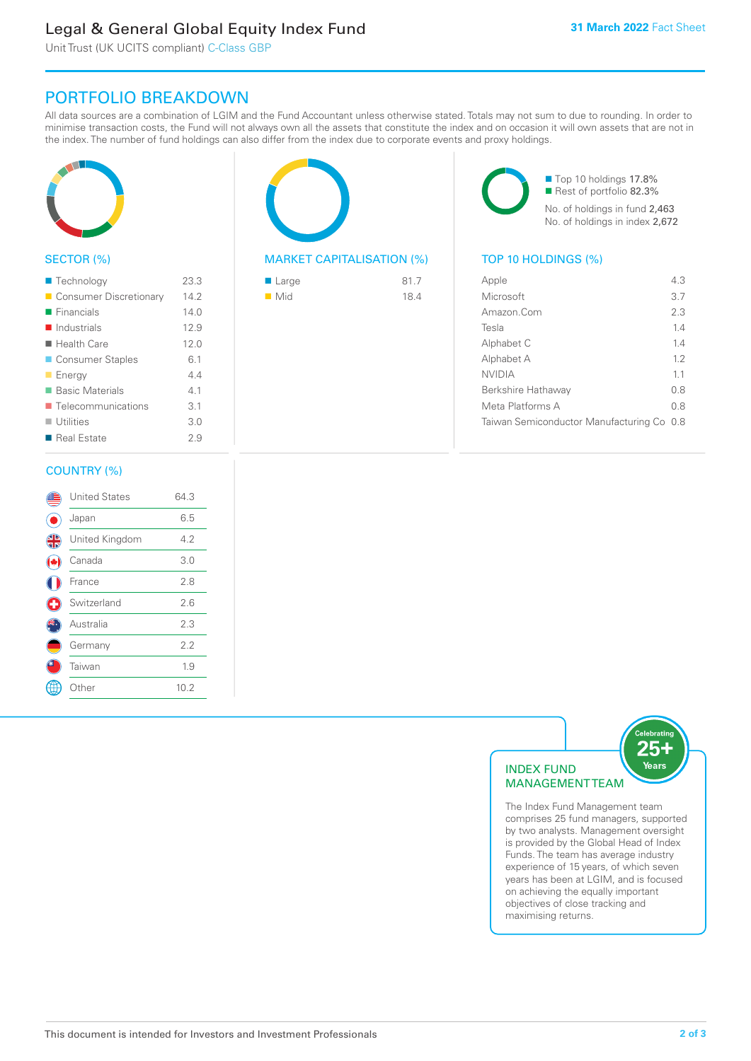# Legal & General Global Equity Index Fund

Unit Trust (UK UCITS compliant) C-Class GBP

## PORTFOLIO BREAKDOWN

All data sources are a combination of LGIM and the Fund Accountant unless otherwise stated. Totals may not sum to due to rounding. In order to minimise transaction costs, the Fund will not always own all the assets that constitute the index and on occasion it will own assets that are not in the index. The number of fund holdings can also differ from the index due to corporate events and proxy holdings.



#### SECTOR (%)

| ■ Technology               | 23.3 |
|----------------------------|------|
| Consumer Discretionary     | 14.2 |
| $\blacksquare$ Financials  | 140  |
| $\blacksquare$ Industrials | 12.9 |
| $\blacksquare$ Health Care | 12.0 |
| ■ Consumer Staples         | 6.1  |
| <b>Energy</b>              | 44   |
| <b>Basic Materials</b>     | 4.1  |
| ■ Telecommunications       | 3.1  |
| $\blacksquare$ Utilities   | 3.0  |
| ■ Real Estate              | 2.9  |
|                            |      |

#### COUNTRY (%)

|   | <b>United States</b> | 64.3 |  |
|---|----------------------|------|--|
|   | Japan                | 6.5  |  |
| 4 | United Kingdom       | 4.2  |  |
|   | Canada               | 3.0  |  |
|   | France               | 2.8  |  |
| O | Switzerland          | 2.6  |  |
|   | Australia            | 2.3  |  |
|   | Germany              | 2.2  |  |
|   | Taiwan               | 1.9  |  |
|   | : Other              | 10.2 |  |
|   |                      |      |  |



#### MARKET CAPITALISATION (%) TOP 10 HOLDINGS (%)

| $\blacksquare$ Large | 81.7 |
|----------------------|------|
| $\blacksquare$ Mid   | 18.4 |

■ Top 10 holdings 17.8% Rest of portfolio 82.3% No. of holdings in fund 2,463 No. of holdings in index 2,672

| 43                                        |
|-------------------------------------------|
| 3.7                                       |
| 2.3                                       |
| 14                                        |
| 14                                        |
| 12                                        |
| 11                                        |
| 0 S                                       |
| 0.8                                       |
| Taiwan Semiconductor Manufacturing Co 0.8 |
|                                           |



The Index Fund Management team comprises 25 fund managers, supported by two analysts. Management oversight is provided by the Global Head of Index Funds. The team has average industry experience of 15 years, of which seven years has been at LGIM, and is focused on achieving the equally important objectives of close tracking and maximising returns.